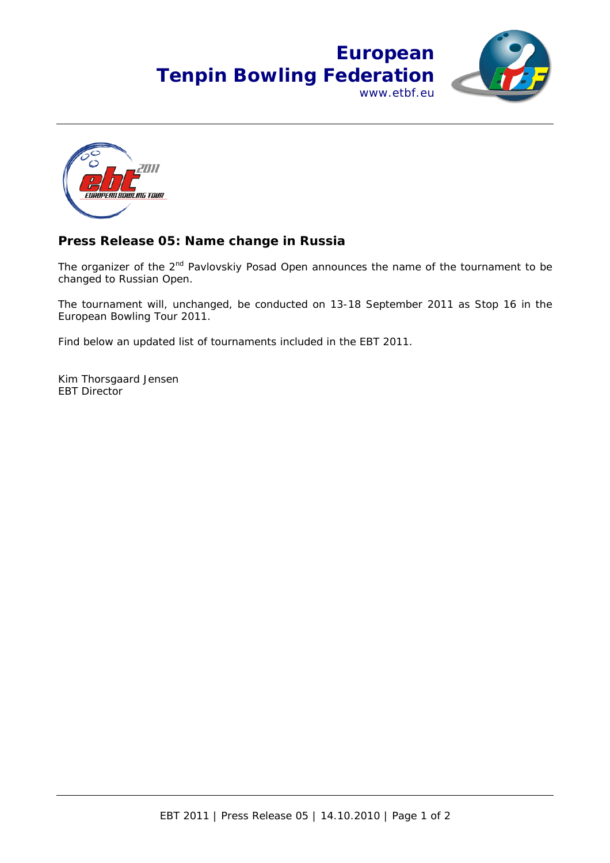## **European Tenpin Bowling Federation** www.etbf.eu





## **Press Release 05: Name change in Russia**

The organizer of the  $2^{nd}$  Pavlovskiy Posad Open announces the name of the tournament to be changed to Russian Open.

The tournament will, unchanged, be conducted on 13-18 September 2011 as Stop 16 in the European Bowling Tour 2011.

Find below an updated list of tournaments included in the EBT 2011.

Kim Thorsgaard Jensen EBT Director